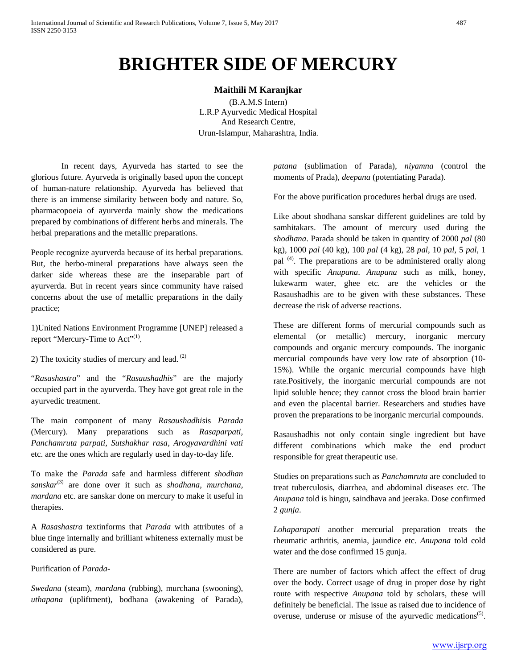## **BRIGHTER SIDE OF MERCURY**

## **Maithili M Karanjkar**

(B.A.M.S Intern) L.R.P Ayurvedic Medical Hospital And Research Centre, Urun-Islampur, Maharashtra, India.

In recent days, Ayurveda has started to see the glorious future. Ayurveda is originally based upon the concept of human-nature relationship. Ayurveda has believed that there is an immense similarity between body and nature. So, pharmacopoeia of ayurverda mainly show the medications prepared by combinations of different herbs and minerals. The herbal preparations and the metallic preparations.

People recognize ayurverda because of its herbal preparations. But, the herbo-mineral preparations have always seen the darker side whereas these are the inseparable part of ayurverda. But in recent years since community have raised concerns about the use of metallic preparations in the daily practice;

1)United Nations Environment Programme [UNEP] released a report "Mercury-Time to Act"<sup>(1)</sup>.

2) The toxicity studies of mercury and lead.  $(2)$ 

"*Rasashastra*" and the "*Rasaushadhis*" are the majorly occupied part in the ayurverda. They have got great role in the ayurvedic treatment.

The main component of many *Rasaushadhis*is *Parada* (Mercury). Many preparations such as *Rasaparpati, Panchamruta parpati, Sutshakhar rasa, Arogyavardhini vati*  etc. are the ones which are regularly used in day-to-day life.

To make the *Parada* safe and harmless different *shodhan sanskar*(3) are done over it such as *shodhana, murchana, mardana* etc. are sanskar done on mercury to make it useful in therapies.

A *Rasashastra* textinforms that *Parada* with attributes of a blue tinge internally and brilliant whiteness externally must be considered as pure.

Purification of *Parada-*

*Swedana* (steam), *mardana* (rubbing), murchana (swooning), *uthapana* (upliftment), bodhana (awakening of Parada), *patana* (sublimation of Parada), *niyamna* (control the moments of Prada), *deepana* (potentiating Parada).

For the above purification procedures herbal drugs are used.

Like about shodhana sanskar different guidelines are told by samhitakars. The amount of mercury used during the *shodhana*. Parada should be taken in quantity of 2000 *pal* (80 kg), 1000 *pal* (40 kg), 100 *pal* (4 kg), 28 *pal*, 10 *pal*, 5 *pal*, 1 pal <sup>(4)</sup>. The preparations are to be administered orally along with specific *Anupana*. *Anupana* such as milk, honey, lukewarm water, ghee etc. are the vehicles or the Rasaushadhis are to be given with these substances. These decrease the risk of adverse reactions.

These are different forms of mercurial compounds such as elemental (or metallic) mercury, inorganic mercury compounds and organic mercury compounds. The inorganic mercurial compounds have very low rate of absorption (10- 15%). While the organic mercurial compounds have high rate.Positively, the inorganic mercurial compounds are not lipid soluble hence; they cannot cross the blood brain barrier and even the placental barrier. Researchers and studies have proven the preparations to be inorganic mercurial compounds.

Rasaushadhis not only contain single ingredient but have different combinations which make the end product responsible for great therapeutic use.

Studies on preparations such as *Panchamruta* are concluded to treat tuberculosis, diarrhea, and abdominal diseases etc. The *Anupana* told is hingu, saindhava and jeeraka. Dose confirmed 2 *gunja*.

*Lohaparapati* another mercurial preparation treats the rheumatic arthritis, anemia, jaundice etc. *Anupana* told cold water and the dose confirmed 15 gunja.

There are number of factors which affect the effect of drug over the body. Correct usage of drug in proper dose by right route with respective *Anupana* told by scholars, these will definitely be beneficial. The issue as raised due to incidence of overuse, underuse or misuse of the ayurvedic medications<sup> $(5)$ </sup>.